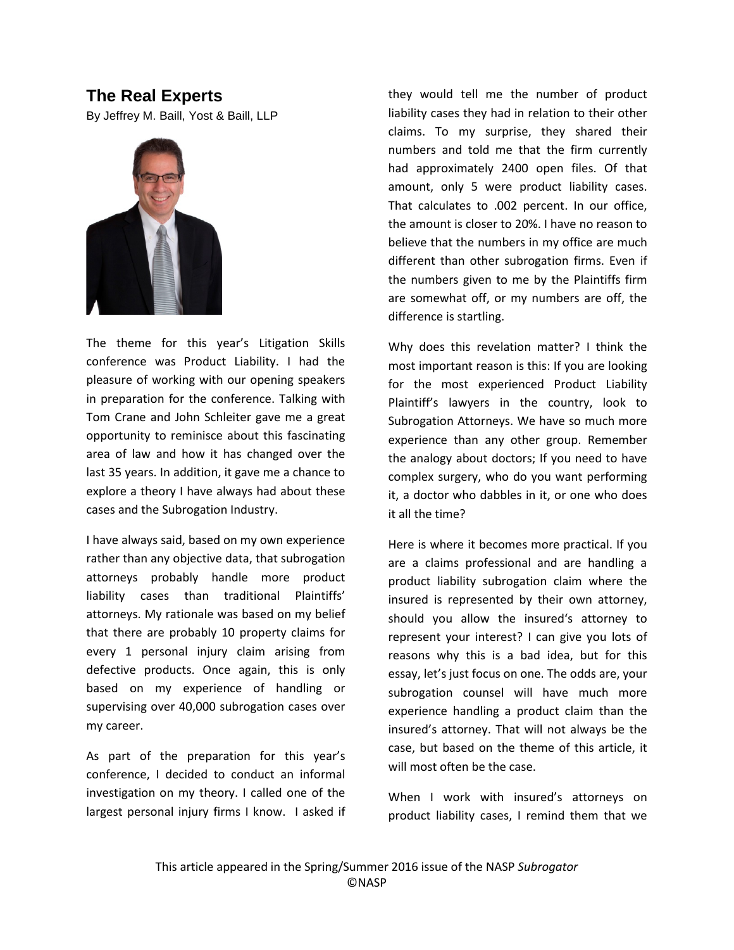## **The Real Experts**

By Jeffrey M. Baill, Yost & Baill, LLP



The theme for this year's Litigation Skills conference was Product Liability. I had the pleasure of working with our opening speakers in preparation for the conference. Talking with Tom Crane and John Schleiter gave me a great opportunity to reminisce about this fascinating area of law and how it has changed over the last 35 years. In addition, it gave me a chance to explore a theory I have always had about these cases and the Subrogation Industry.

I have always said, based on my own experience rather than any objective data, that subrogation attorneys probably handle more product liability cases than traditional Plaintiffs' attorneys. My rationale was based on my belief that there are probably 10 property claims for every 1 personal injury claim arising from defective products. Once again, this is only based on my experience of handling or supervising over 40,000 subrogation cases over my career.

As part of the preparation for this year's conference, I decided to conduct an informal investigation on my theory. I called one of the largest personal injury firms I know. I asked if

they would tell me the number of product liability cases they had in relation to their other claims. To my surprise, they shared their numbers and told me that the firm currently had approximately 2400 open files. Of that amount, only 5 were product liability cases. That calculates to .002 percent. In our office, the amount is closer to 20%. I have no reason to believe that the numbers in my office are much different than other subrogation firms. Even if the numbers given to me by the Plaintiffs firm are somewhat off, or my numbers are off, the difference is startling.

Why does this revelation matter? I think the most important reason is this: If you are looking for the most experienced Product Liability Plaintiff's lawyers in the country, look to Subrogation Attorneys. We have so much more experience than any other group. Remember the analogy about doctors; If you need to have complex surgery, who do you want performing it, a doctor who dabbles in it, or one who does it all the time?

Here is where it becomes more practical. If you are a claims professional and are handling a product liability subrogation claim where the insured is represented by their own attorney, should you allow the insured's attorney to represent your interest? I can give you lots of reasons why this is a bad idea, but for this essay, let's just focus on one. The odds are, your subrogation counsel will have much more experience handling a product claim than the insured's attorney. That will not always be the case, but based on the theme of this article, it will most often be the case.

When I work with insured's attorneys on product liability cases, I remind them that we